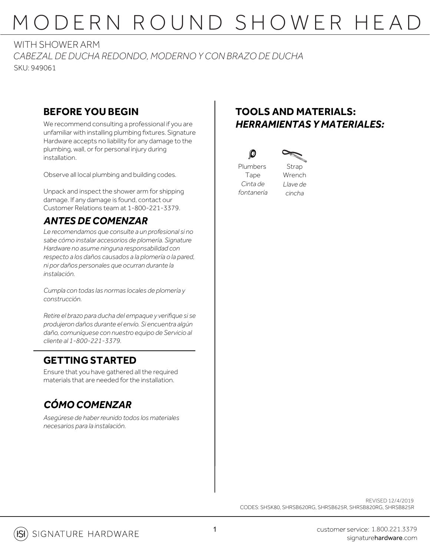# MODERN ROUND SHOWER HEAD

*CABEZAL DE DUCHA REDONDO, MODERNO Y CON BRAZO DE DUCHA* SKU: 949061 WITH SHOWER ARM

### **BEFORE YOU BEGIN**

We recommend consulting a professional if you are unfamiliar with installing plumbing fixtures. Signature Hardware accepts no liability for any damage to the plumbing, wall, or for personal injury during installation.

Observe all local plumbing and building codes.

Unpack and inspect the shower arm for shipping damage. If any damage is found, contact our Customer Relations team at 1-800-221-3379.

### *ANTES DE COMENZAR*

*Le recomendamos que consulte a un profesional si no sabe cómo instalar accesorios de plomería. Signature Hardware no asume ninguna responsabilidad con respecto a los daños causados a la plomería o la pared, ni por daños personales que ocurran durante la instalación.*

*Cumpla con todas las normas locales de plomería y construcción.*

*Retire el brazo para ducha del empaque y verifique si se produjeron daños durante el envío. Si encuentra algún daño, comuníquese con nuestro equipo de Servicio al cliente al 1-800-221-3379.*

#### **GETTING STARTED**

Ensure that you have gathered all the required materials that are needed for the installation.

## *CÓMO COMENZAR*

*Asegúrese de haberreunido todos los materiales necesarios para la instalación.*

### **TOOLS AND MATERIALS:** *HERRAMIENTAS Y MATERIALES:*





Plumbers Tape *Cinta de fontanería*

 $\mathcal{D}$ 

Strap Wrench *Llave de*

*cincha*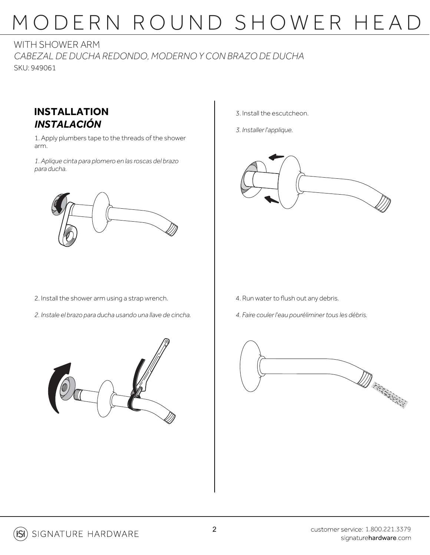# MODERN ROUND SHOWER HEAD

WITH SHOWER ARM

*CABEZAL DE DUCHA REDONDO, MODERNO Y CON BRAZO DE DUCHA* SKU: 949061



1. Apply plumbers tape to the threads of the shower arm.

*1. Aplique cinta para plomero en las roscas del brazo para ducha.*



- 3. Install the escutcheon.
- *3. Installer l'applique.*



- 2. Install the shower arm using a strap wrench.
- *2. Instale el brazo para ducha usando una llave de cincha.*
- 4. Run water to flush out any debris.
- *4. Faire couler l'eau pouréliminertous les débris.*